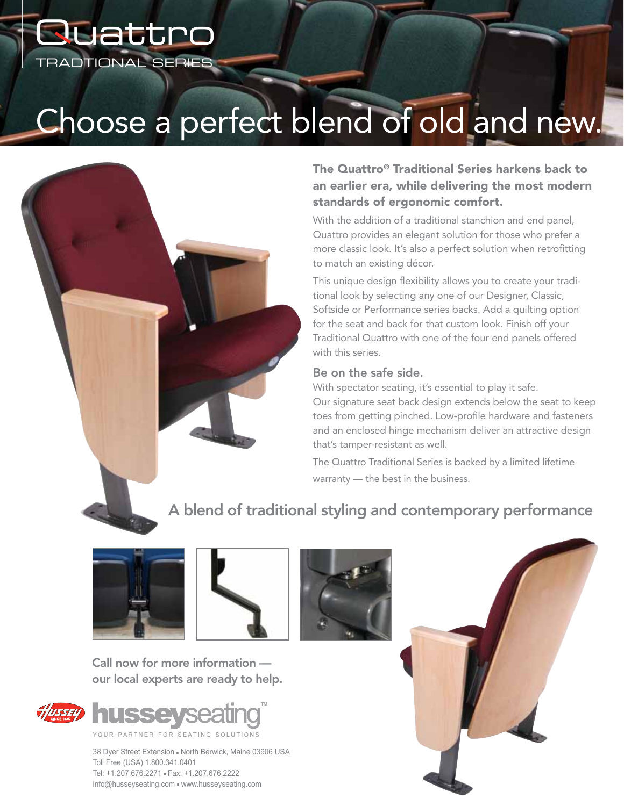## TRADTIONAL Series **Quattro**

# Choose a perfect blend of old and new.



#### The Quattro® Traditional Series harkens back to an earlier era, while delivering the most modern standards of ergonomic comfort.

With the addition of a traditional stanchion and end panel. Quattro provides an elegant solution for those who prefer a more classic look. It's also a perfect solution when retrofitting to match an existing décor.

This unique design flexibility allows you to create your traditional look by selecting any one of our Designer, Classic, Softside or Performance series backs. Add a quilting option for the seat and back for that custom look. Finish off your Traditional Quattro with one of the four end panels offered with this series.

#### Be on the safe side.

With spectator seating, it's essential to play it safe.

Our signature seat back design extends below the seat to keep toes from getting pinched. Low-profile hardware and fasteners and an enclosed hinge mechanism deliver an attractive design that's tamper-resistant as well.

The Quattro Traditional Series is backed by a limited lifetime warranty — the best in the business.

### A blend of traditional styling and contemporary performance





Call now for more information our local experts are ready to help.



38 Dyer Street Extension - North Berwick, Maine 03906 USA Toll Free (USA) 1.800.341.0401 Tel: +1.207.676.2271 - Fax: +1.207.676.2222 info@husseyseating.com . www.husseyseating.com